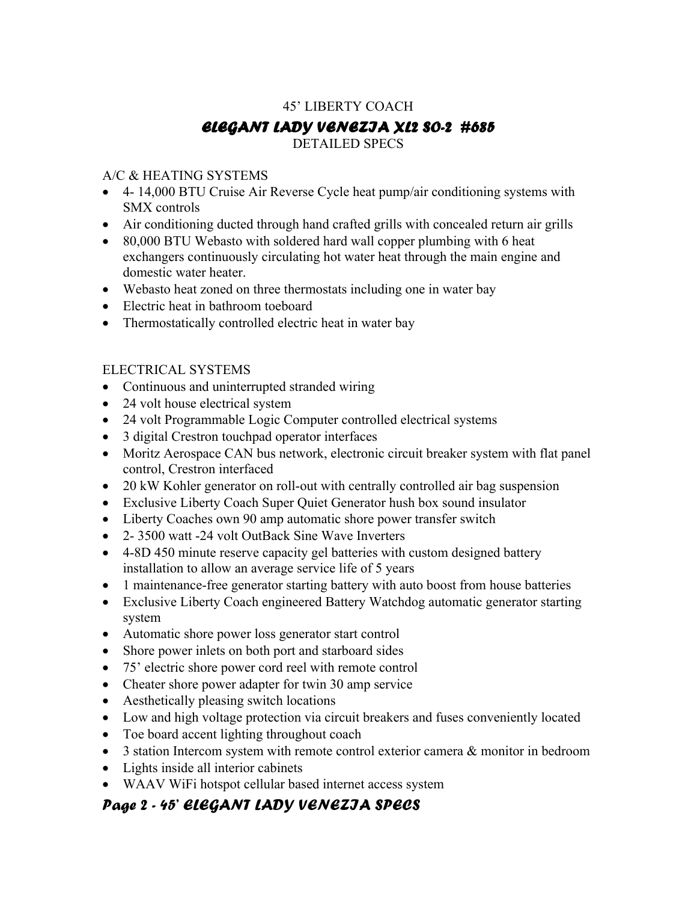# 45' LIBERTY COACH ELEGANT LADY VENEZIA XL2 SO-2 #685 DETAILED SPECS

### A/C & HEATING SYSTEMS

- 4- 14,000 BTU Cruise Air Reverse Cycle heat pump/air conditioning systems with SMX controls
- Air conditioning ducted through hand crafted grills with concealed return air grills
- 80,000 BTU Webasto with soldered hard wall copper plumbing with 6 heat exchangers continuously circulating hot water heat through the main engine and domestic water heater.
- Webasto heat zoned on three thermostats including one in water bay
- Electric heat in bathroom toeboard
- Thermostatically controlled electric heat in water bay

### ELECTRICAL SYSTEMS

- Continuous and uninterrupted stranded wiring
- 24 volt house electrical system
- 24 volt Programmable Logic Computer controlled electrical systems
- 3 digital Crestron touchpad operator interfaces
- Moritz Aerospace CAN bus network, electronic circuit breaker system with flat panel control, Crestron interfaced
- 20 kW Kohler generator on roll-out with centrally controlled air bag suspension
- Exclusive Liberty Coach Super Quiet Generator hush box sound insulator
- Liberty Coaches own 90 amp automatic shore power transfer switch
- 2- 3500 watt -24 volt OutBack Sine Wave Inverters
- 4-8D 450 minute reserve capacity gel batteries with custom designed battery installation to allow an average service life of 5 years
- 1 maintenance-free generator starting battery with auto boost from house batteries
- Exclusive Liberty Coach engineered Battery Watchdog automatic generator starting system
- Automatic shore power loss generator start control
- Shore power inlets on both port and starboard sides
- 75' electric shore power cord reel with remote control
- Cheater shore power adapter for twin 30 amp service
- Aesthetically pleasing switch locations
- Low and high voltage protection via circuit breakers and fuses conveniently located
- Toe board accent lighting throughout coach
- 3 station Intercom system with remote control exterior camera & monitor in bedroom
- Lights inside all interior cabinets
- WAAV WiFi hotspot cellular based internet access system

## Page 2 - 45' ELEGANT LADY VENEZIA SPECS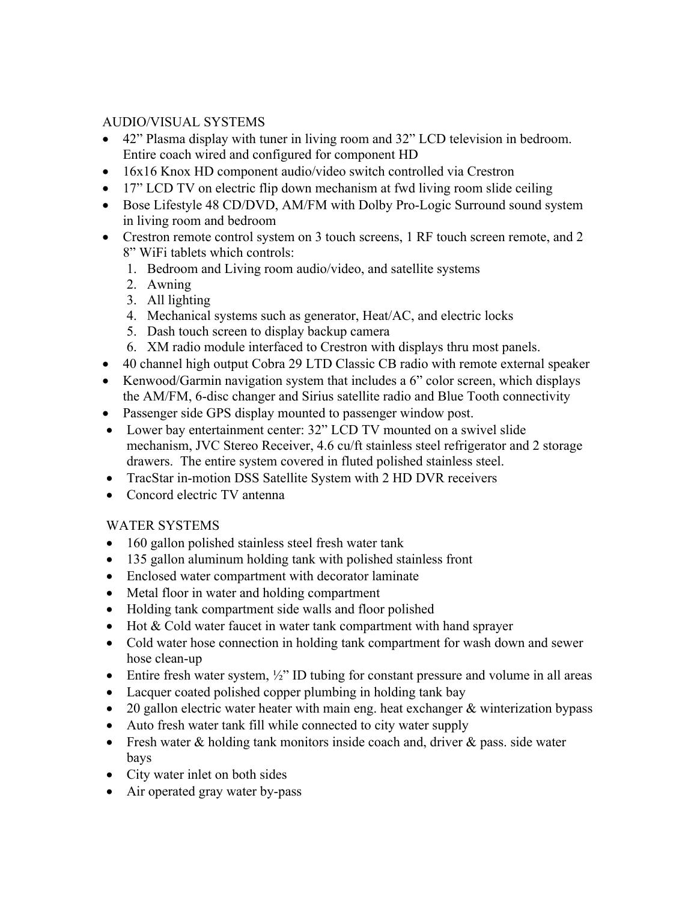#### AUDIO/VISUAL SYSTEMS

- 42" Plasma display with tuner in living room and 32" LCD television in bedroom. Entire coach wired and configured for component HD
- 16x16 Knox HD component audio/video switch controlled via Crestron
- 17" LCD TV on electric flip down mechanism at fwd living room slide ceiling
- Bose Lifestyle 48 CD/DVD, AM/FM with Dolby Pro-Logic Surround sound system in living room and bedroom
- Crestron remote control system on 3 touch screens, 1 RF touch screen remote, and 2 8" WiFi tablets which controls:
	- 1. Bedroom and Living room audio/video, and satellite systems
	- 2. Awning
	- 3. All lighting
	- 4. Mechanical systems such as generator, Heat/AC, and electric locks
	- 5. Dash touch screen to display backup camera
	- 6. XM radio module interfaced to Crestron with displays thru most panels.
- 40 channel high output Cobra 29 LTD Classic CB radio with remote external speaker
- Kenwood/Garmin navigation system that includes a 6" color screen, which displays the AM/FM, 6-disc changer and Sirius satellite radio and Blue Tooth connectivity
- Passenger side GPS display mounted to passenger window post.
- Lower bay entertainment center: 32" LCD TV mounted on a swivel slide mechanism, JVC Stereo Receiver, 4.6 cu/ft stainless steel refrigerator and 2 storage drawers. The entire system covered in fluted polished stainless steel.
- TracStar in-motion DSS Satellite System with 2 HD DVR receivers
- Concord electric TV antenna

### WATER SYSTEMS

- 160 gallon polished stainless steel fresh water tank
- 135 gallon aluminum holding tank with polished stainless front
- Enclosed water compartment with decorator laminate
- Metal floor in water and holding compartment
- Holding tank compartment side walls and floor polished
- Hot & Cold water faucet in water tank compartment with hand sprayer
- Cold water hose connection in holding tank compartment for wash down and sewer hose clean-up
- Entire fresh water system,  $\frac{1}{2}$ " ID tubing for constant pressure and volume in all areas
- Lacquer coated polished copper plumbing in holding tank bay
- 20 gallon electric water heater with main eng. heat exchanger & winterization bypass
- Auto fresh water tank fill while connected to city water supply
- Fresh water & holding tank monitors inside coach and, driver & pass. side water bays
- City water inlet on both sides
- Air operated gray water by-pass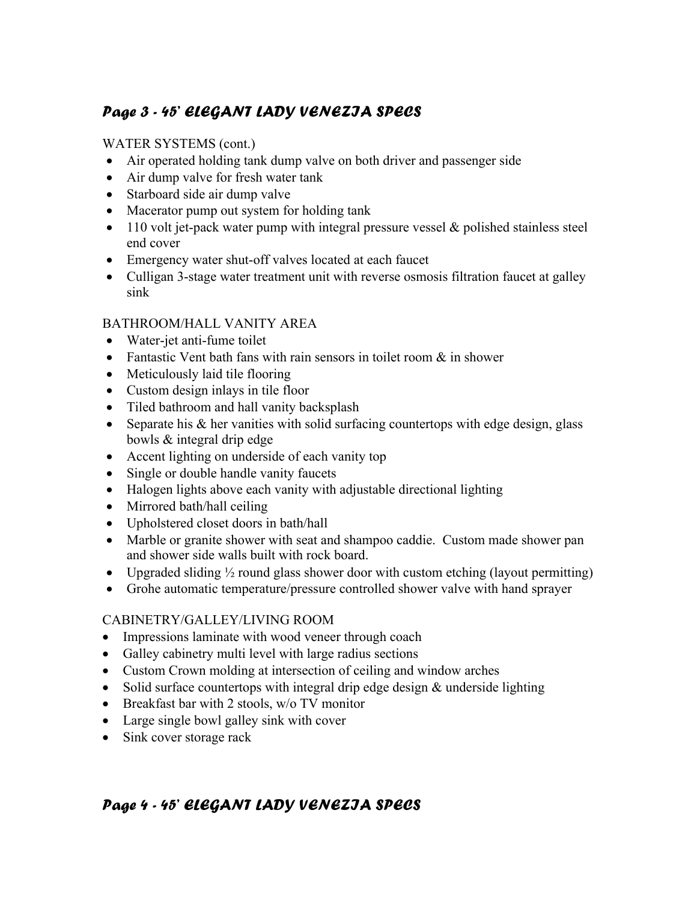# Page 3 - 45' ELEGANT LADY VENEZIA SPECS

### WATER SYSTEMS (cont.)

- Air operated holding tank dump valve on both driver and passenger side
- Air dump valve for fresh water tank
- Starboard side air dump valve
- Macerator pump out system for holding tank
- $\bullet$  110 volt jet-pack water pump with integral pressure vessel & polished stainless steel end cover
- Emergency water shut-off valves located at each faucet
- Culligan 3-stage water treatment unit with reverse osmosis filtration faucet at galley sink

#### BATHROOM/HALL VANITY AREA

- Water-jet anti-fume toilet
- Fantastic Vent bath fans with rain sensors in toilet room  $\&$  in shower
- Meticulously laid tile flooring
- Custom design inlays in tile floor
- Tiled bathroom and hall vanity backsplash
- Separate his & her vanities with solid surfacing countertops with edge design, glass bowls & integral drip edge
- Accent lighting on underside of each vanity top
- Single or double handle vanity faucets
- Halogen lights above each vanity with adjustable directional lighting
- Mirrored bath/hall ceiling
- Upholstered closet doors in bath/hall
- Marble or granite shower with seat and shampoo caddie. Custom made shower pan and shower side walls built with rock board.
- Upgraded sliding  $\frac{1}{2}$  round glass shower door with custom etching (layout permitting)
- Grohe automatic temperature/pressure controlled shower valve with hand sprayer

### CABINETRY/GALLEY/LIVING ROOM

- Impressions laminate with wood veneer through coach
- Galley cabinetry multi level with large radius sections
- Custom Crown molding at intersection of ceiling and window arches
- Solid surface countertops with integral drip edge design & underside lighting
- Breakfast bar with 2 stools, w/o TV monitor
- Large single bowl galley sink with cover
- Sink cover storage rack

# Page 4 - 45' ELEGANT LADY VENEZIA SPECS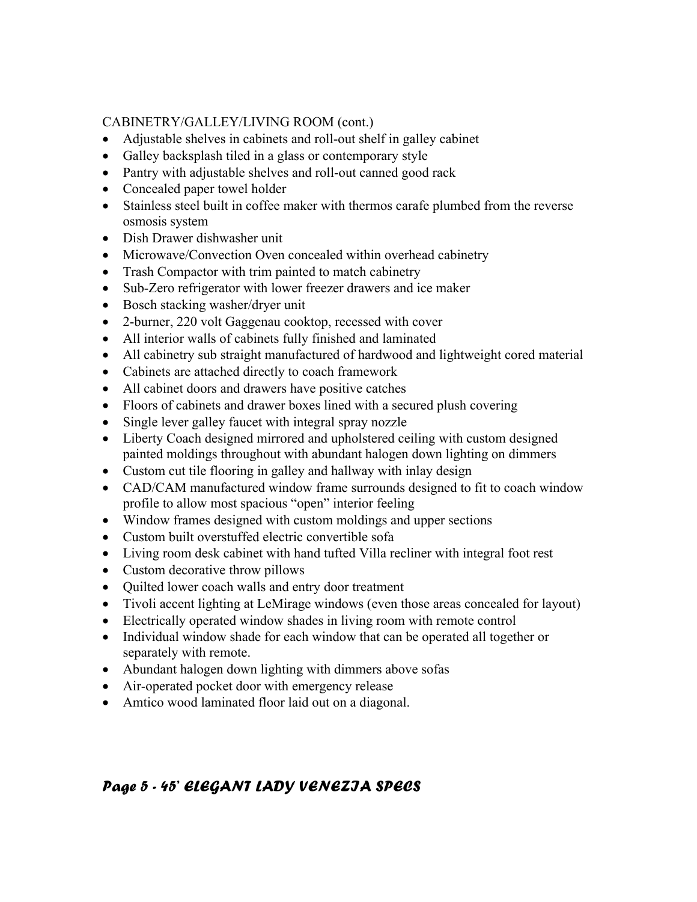#### CABINETRY/GALLEY/LIVING ROOM (cont.)

- Adjustable shelves in cabinets and roll-out shelf in galley cabinet
- Galley backsplash tiled in a glass or contemporary style
- Pantry with adjustable shelves and roll-out canned good rack
- Concealed paper towel holder
- Stainless steel built in coffee maker with thermos carafe plumbed from the reverse osmosis system
- Dish Drawer dishwasher unit
- Microwave/Convection Oven concealed within overhead cabinetry
- Trash Compactor with trim painted to match cabinetry
- Sub-Zero refrigerator with lower freezer drawers and ice maker
- Bosch stacking washer/dryer unit
- 2-burner, 220 volt Gaggenau cooktop, recessed with cover
- All interior walls of cabinets fully finished and laminated
- All cabinetry sub straight manufactured of hardwood and lightweight cored material
- Cabinets are attached directly to coach framework
- All cabinet doors and drawers have positive catches
- Floors of cabinets and drawer boxes lined with a secured plush covering
- Single lever galley faucet with integral spray nozzle
- Liberty Coach designed mirrored and upholstered ceiling with custom designed painted moldings throughout with abundant halogen down lighting on dimmers
- Custom cut tile flooring in galley and hallway with inlay design
- CAD/CAM manufactured window frame surrounds designed to fit to coach window profile to allow most spacious "open" interior feeling
- Window frames designed with custom moldings and upper sections
- Custom built overstuffed electric convertible sofa
- Living room desk cabinet with hand tufted Villa recliner with integral foot rest
- Custom decorative throw pillows
- Quilted lower coach walls and entry door treatment
- Tivoli accent lighting at LeMirage windows (even those areas concealed for layout)
- Electrically operated window shades in living room with remote control
- Individual window shade for each window that can be operated all together or separately with remote.
- Abundant halogen down lighting with dimmers above sofas
- Air-operated pocket door with emergency release
- Amtico wood laminated floor laid out on a diagonal.

## Page 5 - 45' ELEGANT LADY VENEZIA SPECS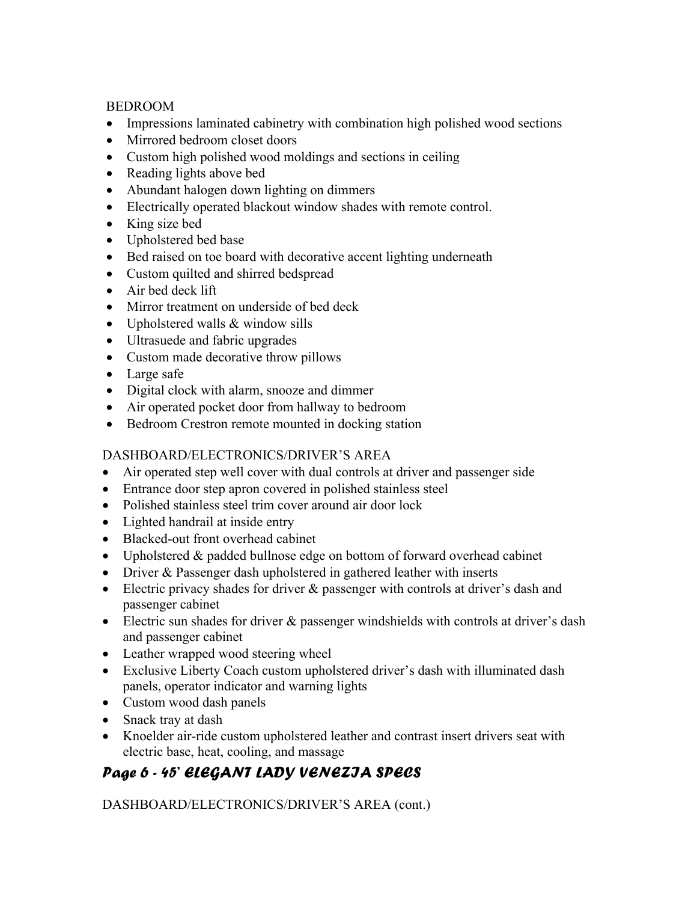#### BEDROOM

- Impressions laminated cabinetry with combination high polished wood sections
- Mirrored bedroom closet doors
- Custom high polished wood moldings and sections in ceiling
- Reading lights above bed
- Abundant halogen down lighting on dimmers
- Electrically operated blackout window shades with remote control.
- King size bed
- Upholstered bed base
- Bed raised on toe board with decorative accent lighting underneath
- Custom quilted and shirred bedspread
- Air bed deck lift
- Mirror treatment on underside of bed deck
- Upholstered walls & window sills
- Ultrasuede and fabric upgrades
- Custom made decorative throw pillows
- Large safe
- Digital clock with alarm, snooze and dimmer
- Air operated pocket door from hallway to bedroom
- Bedroom Crestron remote mounted in docking station

### DASHBOARD/ELECTRONICS/DRIVER'S AREA

- Air operated step well cover with dual controls at driver and passenger side
- Entrance door step apron covered in polished stainless steel
- Polished stainless steel trim cover around air door lock
- Lighted handrail at inside entry
- Blacked-out front overhead cabinet
- Upholstered & padded bullnose edge on bottom of forward overhead cabinet
- Driver & Passenger dash upholstered in gathered leather with inserts
- Electric privacy shades for driver & passenger with controls at driver's dash and passenger cabinet
- Electric sun shades for driver  $\&$  passenger windshields with controls at driver's dash and passenger cabinet
- Leather wrapped wood steering wheel
- Exclusive Liberty Coach custom upholstered driver's dash with illuminated dash panels, operator indicator and warning lights
- Custom wood dash panels
- Snack tray at dash
- Knoelder air-ride custom upholstered leather and contrast insert drivers seat with electric base, heat, cooling, and massage

# Page 6 - 45' ELEGANT LADY VENEZIA SPECS

DASHBOARD/ELECTRONICS/DRIVER'S AREA (cont.)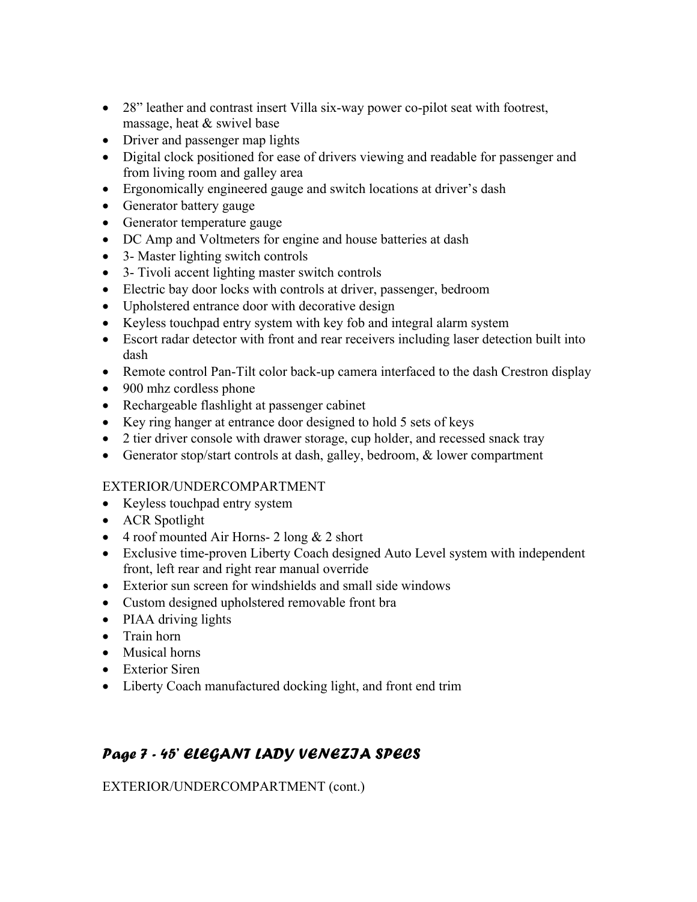- 28" leather and contrast insert Villa six-way power co-pilot seat with footrest, massage, heat & swivel base
- Driver and passenger map lights
- Digital clock positioned for ease of drivers viewing and readable for passenger and from living room and galley area
- Ergonomically engineered gauge and switch locations at driver's dash
- Generator battery gauge
- Generator temperature gauge
- DC Amp and Voltmeters for engine and house batteries at dash
- 3- Master lighting switch controls
- 3- Tivoli accent lighting master switch controls
- Electric bay door locks with controls at driver, passenger, bedroom
- Upholstered entrance door with decorative design
- Keyless touchpad entry system with key fob and integral alarm system
- Escort radar detector with front and rear receivers including laser detection built into dash
- Remote control Pan-Tilt color back-up camera interfaced to the dash Crestron display
- 900 mhz cordless phone
- Rechargeable flashlight at passenger cabinet
- Key ring hanger at entrance door designed to hold 5 sets of keys
- 2 tier driver console with drawer storage, cup holder, and recessed snack tray
- Generator stop/start controls at dash, galley, bedroom, & lower compartment

### EXTERIOR/UNDERCOMPARTMENT

- Keyless touchpad entry system
- ACR Spotlight
- 4 roof mounted Air Horns- 2 long & 2 short
- Exclusive time-proven Liberty Coach designed Auto Level system with independent front, left rear and right rear manual override
- Exterior sun screen for windshields and small side windows
- Custom designed upholstered removable front bra
- PIAA driving lights
- Train horn
- Musical horns
- Exterior Siren
- Liberty Coach manufactured docking light, and front end trim

# Page 7 - 45' ELEGANT LADY VENEZIA SPECS

EXTERIOR/UNDERCOMPARTMENT (cont.)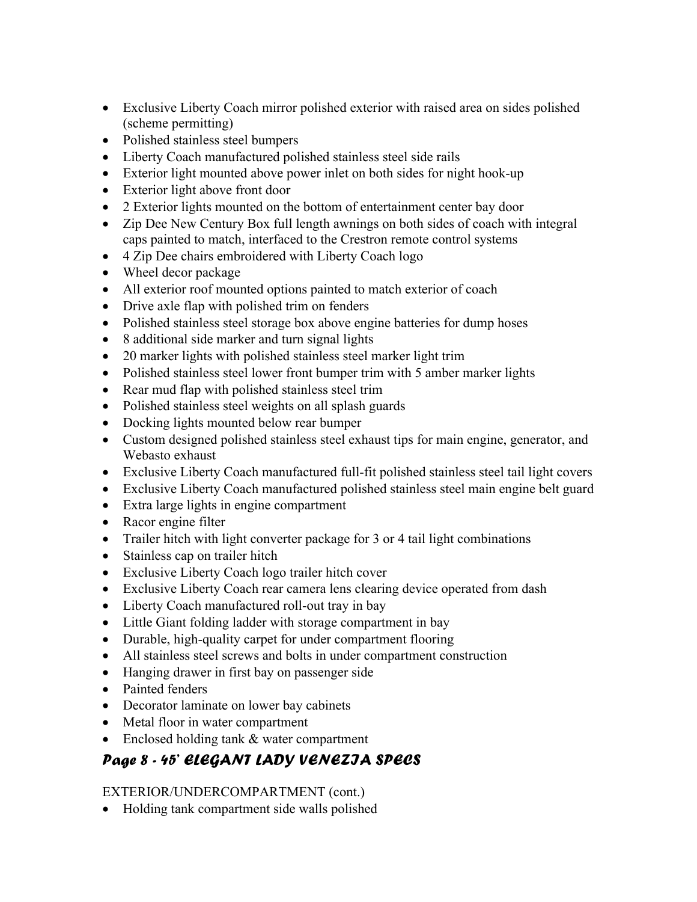- Exclusive Liberty Coach mirror polished exterior with raised area on sides polished (scheme permitting)
- Polished stainless steel bumpers
- Liberty Coach manufactured polished stainless steel side rails
- Exterior light mounted above power inlet on both sides for night hook-up
- Exterior light above front door
- 2 Exterior lights mounted on the bottom of entertainment center bay door
- Zip Dee New Century Box full length awnings on both sides of coach with integral caps painted to match, interfaced to the Crestron remote control systems
- 4 Zip Dee chairs embroidered with Liberty Coach logo
- Wheel decor package
- All exterior roof mounted options painted to match exterior of coach
- Drive axle flap with polished trim on fenders
- Polished stainless steel storage box above engine batteries for dump hoses
- 8 additional side marker and turn signal lights
- 20 marker lights with polished stainless steel marker light trim
- Polished stainless steel lower front bumper trim with 5 amber marker lights
- Rear mud flap with polished stainless steel trim
- Polished stainless steel weights on all splash guards
- Docking lights mounted below rear bumper
- Custom designed polished stainless steel exhaust tips for main engine, generator, and Webasto exhaust
- Exclusive Liberty Coach manufactured full-fit polished stainless steel tail light covers
- Exclusive Liberty Coach manufactured polished stainless steel main engine belt guard
- Extra large lights in engine compartment
- Racor engine filter
- Trailer hitch with light converter package for 3 or 4 tail light combinations
- Stainless cap on trailer hitch
- Exclusive Liberty Coach logo trailer hitch cover
- Exclusive Liberty Coach rear camera lens clearing device operated from dash
- Liberty Coach manufactured roll-out tray in bay
- Little Giant folding ladder with storage compartment in bay
- Durable, high-quality carpet for under compartment flooring
- All stainless steel screws and bolts in under compartment construction
- Hanging drawer in first bay on passenger side
- Painted fenders
- Decorator laminate on lower bay cabinets
- Metal floor in water compartment
- Enclosed holding tank & water compartment

# Page 8 - 45' ELEGANT LADY VENEZIA SPECS

#### EXTERIOR/UNDERCOMPARTMENT (cont.)

• Holding tank compartment side walls polished